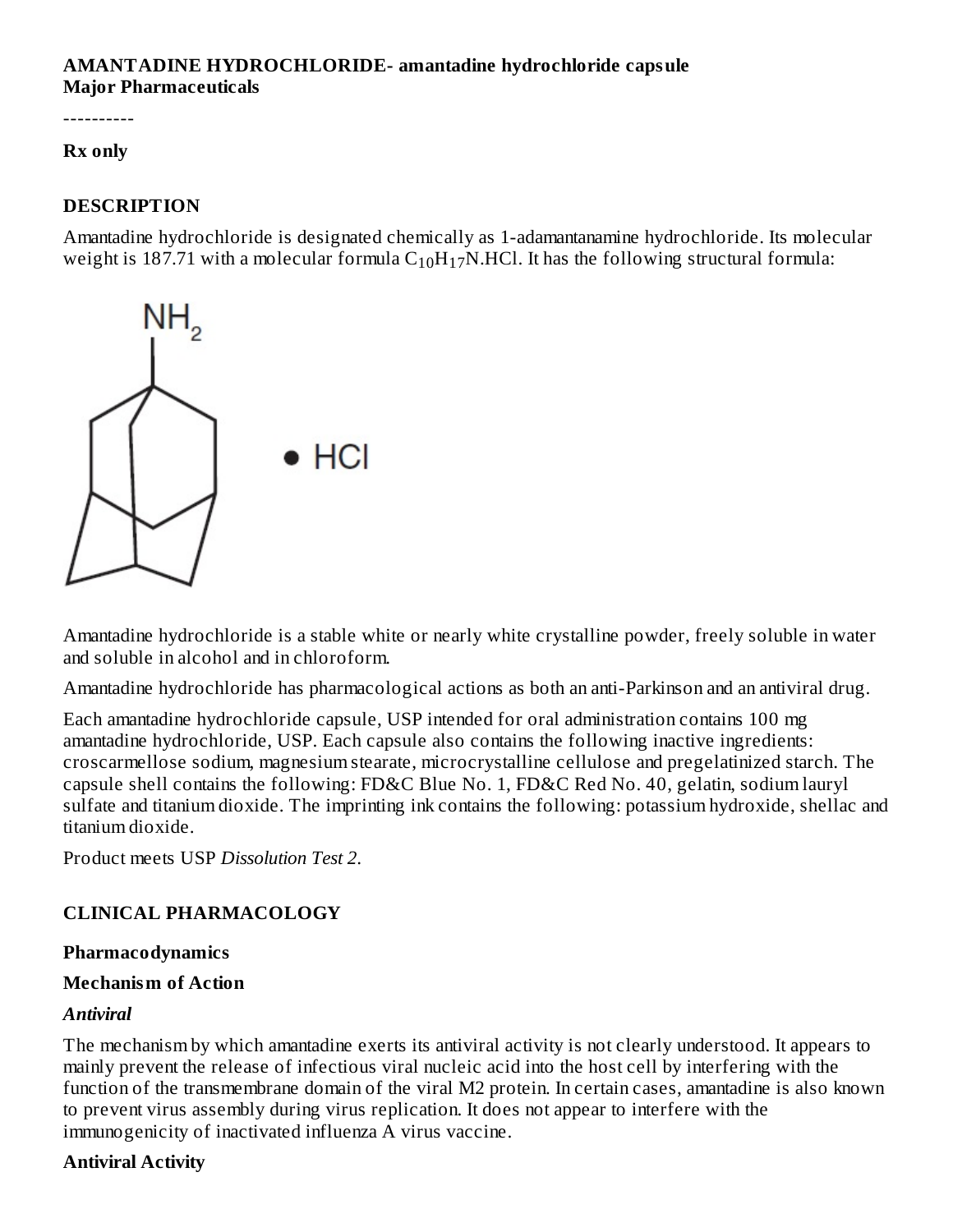#### **AMANTADINE HYDROCHLORIDE- amantadine hydrochloride capsule Major Pharmaceuticals**

----------

#### **Rx only**

#### **DESCRIPTION**

Amantadine hydrochloride is designated chemically as 1-adamantanamine hydrochloride. Its molecular weight is 187.71 with a molecular formula  $\rm{C_{10}H_{17}N}$ .HCl. It has the following structural formula:



Amantadine hydrochloride is a stable white or nearly white crystalline powder, freely soluble in water and soluble in alcohol and in chloroform.

Amantadine hydrochloride has pharmacological actions as both an anti-Parkinson and an antiviral drug.

Each amantadine hydrochloride capsule, USP intended for oral administration contains 100 mg amantadine hydrochloride, USP. Each capsule also contains the following inactive ingredients: croscarmellose sodium, magnesium stearate, microcrystalline cellulose and pregelatinized starch. The capsule shell contains the following: FD&C Blue No. 1, FD&C Red No. 40, gelatin, sodium lauryl sulfate and titanium dioxide. The imprinting ink contains the following: potassium hydroxide, shellac and titanium dioxide.

Product meets USP *Dissolution Test 2*.

#### **CLINICAL PHARMACOLOGY**

#### **Pharmacodynamics**

#### **Mechanism of Action**

#### *Antiviral*

The mechanism by which amantadine exerts its antiviral activity is not clearly understood. It appears to mainly prevent the release of infectious viral nucleic acid into the host cell by interfering with the function of the transmembrane domain of the viral M2 protein. In certain cases, amantadine is also known to prevent virus assembly during virus replication. It does not appear to interfere with the immunogenicity of inactivated influenza A virus vaccine.

#### **Antiviral Activity**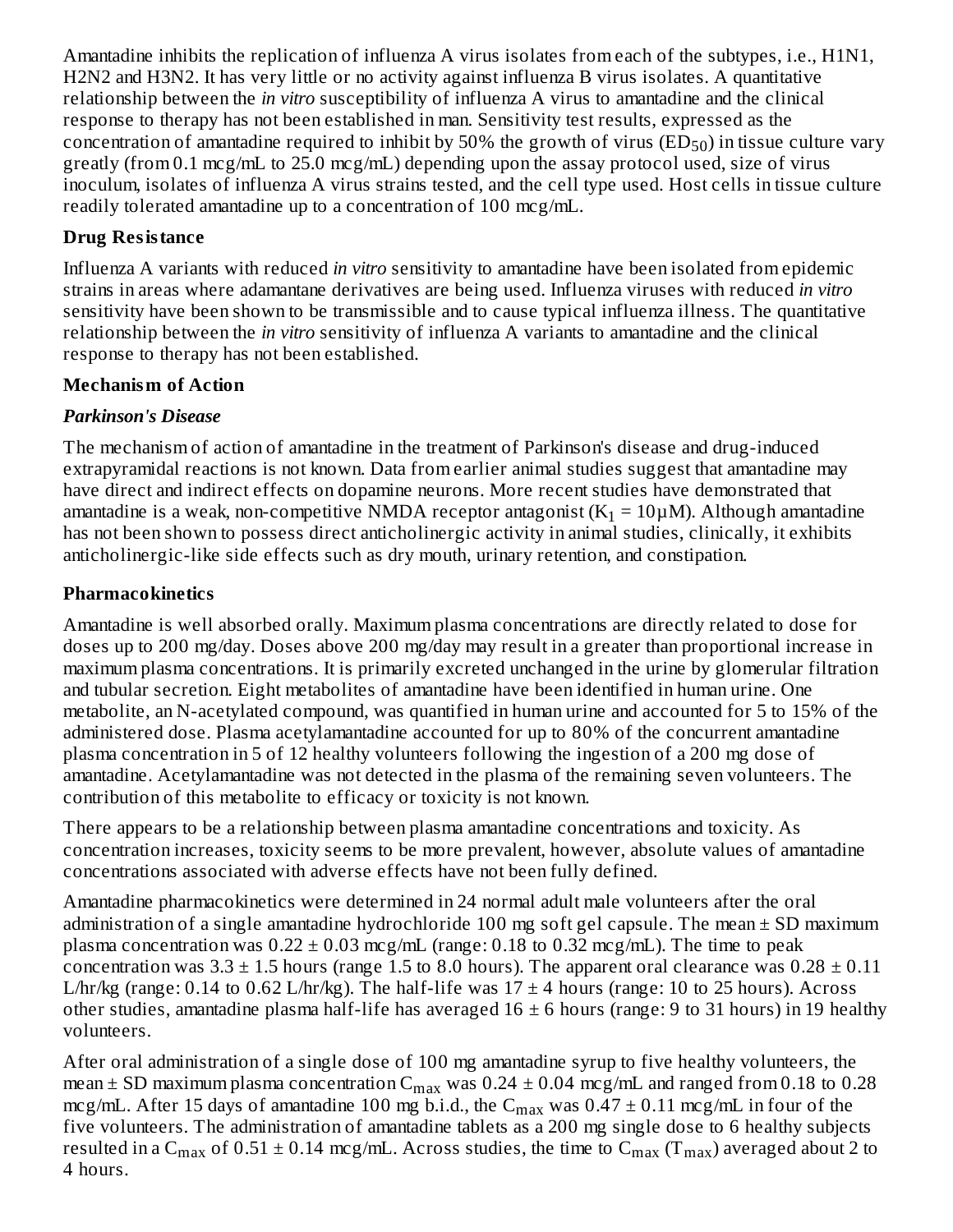Amantadine inhibits the replication of influenza A virus isolates from each of the subtypes, i.e., H1N1, H2N2 and H3N2. It has very little or no activity against influenza B virus isolates. A quantitative relationship between the *in vitro* susceptibility of influenza A virus to amantadine and the clinical response to therapy has not been established in man. Sensitivity test results, expressed as the concentration of amantadine required to inhibit by 50% the growth of virus  $(\mathrm{ED}_{50})$  in tissue culture vary greatly (from 0.1 mcg/mL to 25.0 mcg/mL) depending upon the assay protocol used, size of virus inoculum, isolates of influenza A virus strains tested, and the cell type used. Host cells in tissue culture readily tolerated amantadine up to a concentration of 100 mcg/mL.

# **Drug Resistance**

Influenza A variants with reduced *in vitro* sensitivity to amantadine have been isolated from epidemic strains in areas where adamantane derivatives are being used. Influenza viruses with reduced *in vitro* sensitivity have been shown to be transmissible and to cause typical influenza illness. The quantitative relationship between the *in vitro* sensitivity of influenza A variants to amantadine and the clinical response to therapy has not been established.

# **Mechanism of Action**

# *Parkinson's Disease*

The mechanism of action of amantadine in the treatment of Parkinson's disease and drug-induced extrapyramidal reactions is not known. Data from earlier animal studies suggest that amantadine may have direct and indirect effects on dopamine neurons. More recent studies have demonstrated that amantadine is a weak, non-competitive NMDA receptor antagonist (K $_1$  = 10 $\mu$ M). Although amantadine has not been shown to possess direct anticholinergic activity in animal studies, clinically, it exhibits anticholinergic-like side effects such as dry mouth, urinary retention, and constipation.

# **Pharmacokinetics**

Amantadine is well absorbed orally. Maximum plasma concentrations are directly related to dose for doses up to 200 mg/day. Doses above 200 mg/day may result in a greater than proportional increase in maximum plasma concentrations. It is primarily excreted unchanged in the urine by glomerular filtration and tubular secretion. Eight metabolites of amantadine have been identified in human urine. One metabolite, an N-acetylated compound, was quantified in human urine and accounted for 5 to 15% of the administered dose. Plasma acetylamantadine accounted for up to 80% of the concurrent amantadine plasma concentration in 5 of 12 healthy volunteers following the ingestion of a 200 mg dose of amantadine. Acetylamantadine was not detected in the plasma of the remaining seven volunteers. The contribution of this metabolite to efficacy or toxicity is not known.

There appears to be a relationship between plasma amantadine concentrations and toxicity. As concentration increases, toxicity seems to be more prevalent, however, absolute values of amantadine concentrations associated with adverse effects have not been fully defined.

Amantadine pharmacokinetics were determined in 24 normal adult male volunteers after the oral administration of a single amantadine hydrochloride 100 mg soft gel capsule. The mean  $\pm$  SD maximum plasma concentration was  $0.22 \pm 0.03$  mcg/mL (range: 0.18 to 0.32 mcg/mL). The time to peak concentration was  $3.3 \pm 1.5$  hours (range 1.5 to 8.0 hours). The apparent oral clearance was  $0.28 \pm 0.11$ L/hr/kg (range: 0.14 to 0.62 L/hr/kg). The half-life was  $17 \pm 4$  hours (range: 10 to 25 hours). Across other studies, amantadine plasma half-life has averaged  $16 \pm 6$  hours (range: 9 to 31 hours) in 19 healthy volunteers.

After oral administration of a single dose of 100 mg amantadine syrup to five healthy volunteers, the mean  $\pm$  SD maximum plasma concentration  $\rm C_{max}$  was 0.24  $\pm$  0.04 mcg/mL and ranged from 0.18 to 0.28 mcg/mL. After 15 days of amantadine 100 mg b.i.d., the C $_{\rm max}$  was 0.47  $\pm$  0.11 mcg/mL in four of the five volunteers. The administration of amantadine tablets as a 200 mg single dose to 6 healthy subjects resulted in a C<sub>max</sub> of 0.51  $\pm$  0.14 mcg/mL. Across studies, the time to C<sub>max</sub> (T<sub>max</sub>) averaged about 2 to 4 hours.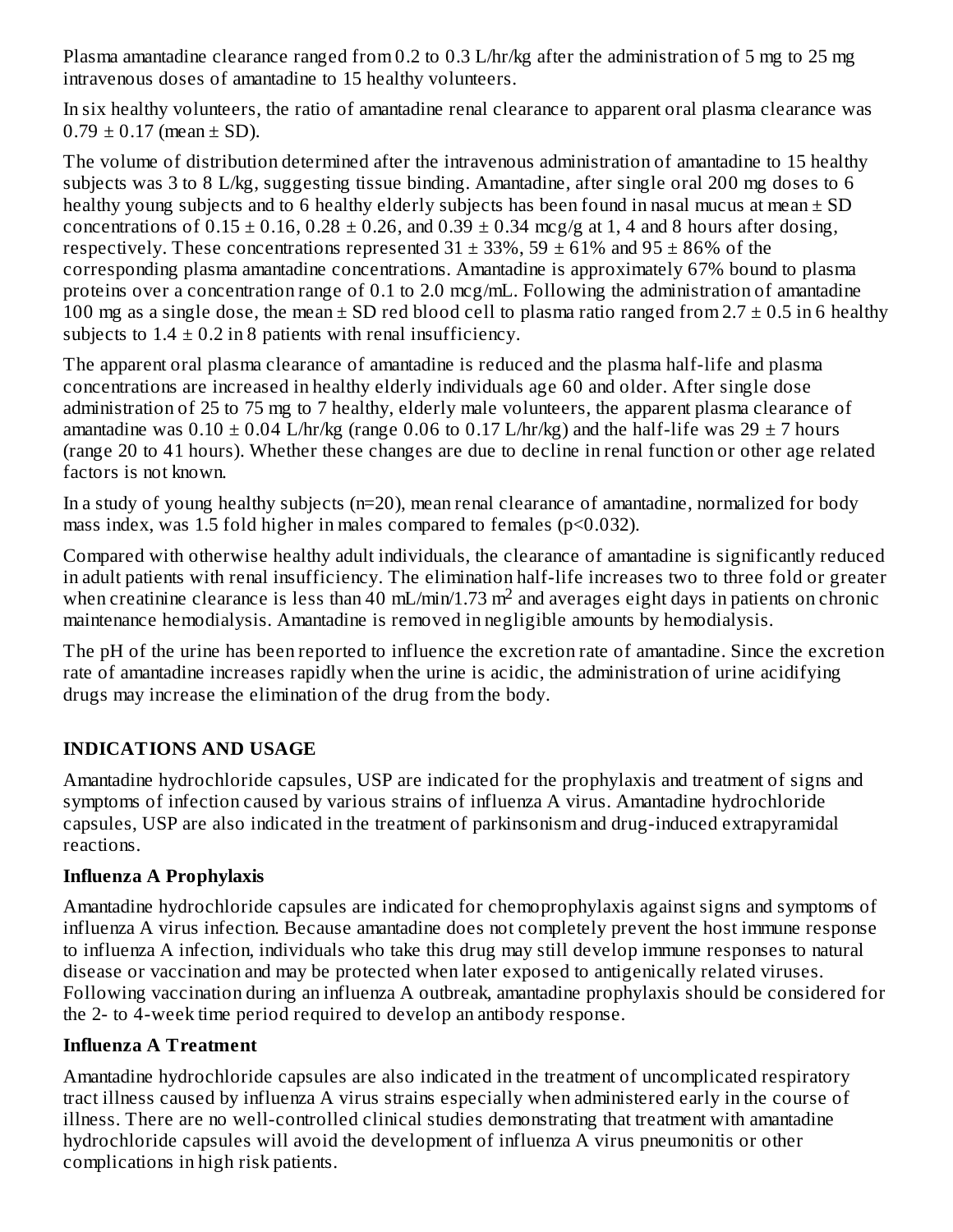Plasma amantadine clearance ranged from 0.2 to 0.3 L/hr/kg after the administration of 5 mg to 25 mg intravenous doses of amantadine to 15 healthy volunteers.

In six healthy volunteers, the ratio of amantadine renal clearance to apparent oral plasma clearance was  $0.79 \pm 0.17$  (mean  $\pm$  SD).

The volume of distribution determined after the intravenous administration of amantadine to 15 healthy subjects was 3 to 8 L/kg, suggesting tissue binding. Amantadine, after single oral 200 mg doses to 6 healthy young subjects and to 6 healthy elderly subjects has been found in nasal mucus at mean  $\pm$  SD concentrations of  $0.15 \pm 0.16$ ,  $0.28 \pm 0.26$ , and  $0.39 \pm 0.34$  mcg/g at 1, 4 and 8 hours after dosing, respectively. These concentrations represented  $31 \pm 33$ %,  $59 \pm 61$ % and  $95 \pm 86$ % of the corresponding plasma amantadine concentrations. Amantadine is approximately 67% bound to plasma proteins over a concentration range of 0.1 to 2.0 mcg/mL. Following the administration of amantadine 100 mg as a single dose, the mean  $\pm$  SD red blood cell to plasma ratio ranged from 2.7  $\pm$  0.5 in 6 healthy subjects to  $1.4 \pm 0.2$  in 8 patients with renal insufficiency.

The apparent oral plasma clearance of amantadine is reduced and the plasma half-life and plasma concentrations are increased in healthy elderly individuals age 60 and older. After single dose administration of 25 to 75 mg to 7 healthy, elderly male volunteers, the apparent plasma clearance of amantadine was  $0.10 \pm 0.04$  L/hr/kg (range 0.06 to 0.17 L/hr/kg) and the half-life was  $29 \pm 7$  hours (range 20 to 41 hours). Whether these changes are due to decline in renal function or other age related factors is not known.

In a study of young healthy subjects (n=20), mean renal clearance of amantadine, normalized for body mass index, was 1.5 fold higher in males compared to females (p<0.032).

Compared with otherwise healthy adult individuals, the clearance of amantadine is significantly reduced in adult patients with renal insufficiency. The elimination half-life increases two to three fold or greater when creatinine clearance is less than  $40 \text{ mL/min}/1.73 \text{ m}^2$  and averages eight days in patients on chronic maintenance hemodialysis. Amantadine is removed in negligible amounts by hemodialysis.

The pH of the urine has been reported to influence the excretion rate of amantadine. Since the excretion rate of amantadine increases rapidly when the urine is acidic, the administration of urine acidifying drugs may increase the elimination of the drug from the body.

# **INDICATIONS AND USAGE**

Amantadine hydrochloride capsules, USP are indicated for the prophylaxis and treatment of signs and symptoms of infection caused by various strains of influenza A virus. Amantadine hydrochloride capsules, USP are also indicated in the treatment of parkinsonism and drug-induced extrapyramidal reactions.

# **Influenza A Prophylaxis**

Amantadine hydrochloride capsules are indicated for chemoprophylaxis against signs and symptoms of influenza A virus infection. Because amantadine does not completely prevent the host immune response to influenza A infection, individuals who take this drug may still develop immune responses to natural disease or vaccination and may be protected when later exposed to antigenically related viruses. Following vaccination during an influenza A outbreak, amantadine prophylaxis should be considered for the 2- to 4-week time period required to develop an antibody response.

# **Influenza A Treatment**

Amantadine hydrochloride capsules are also indicated in the treatment of uncomplicated respiratory tract illness caused by influenza A virus strains especially when administered early in the course of illness. There are no well-controlled clinical studies demonstrating that treatment with amantadine hydrochloride capsules will avoid the development of influenza A virus pneumonitis or other complications in high risk patients.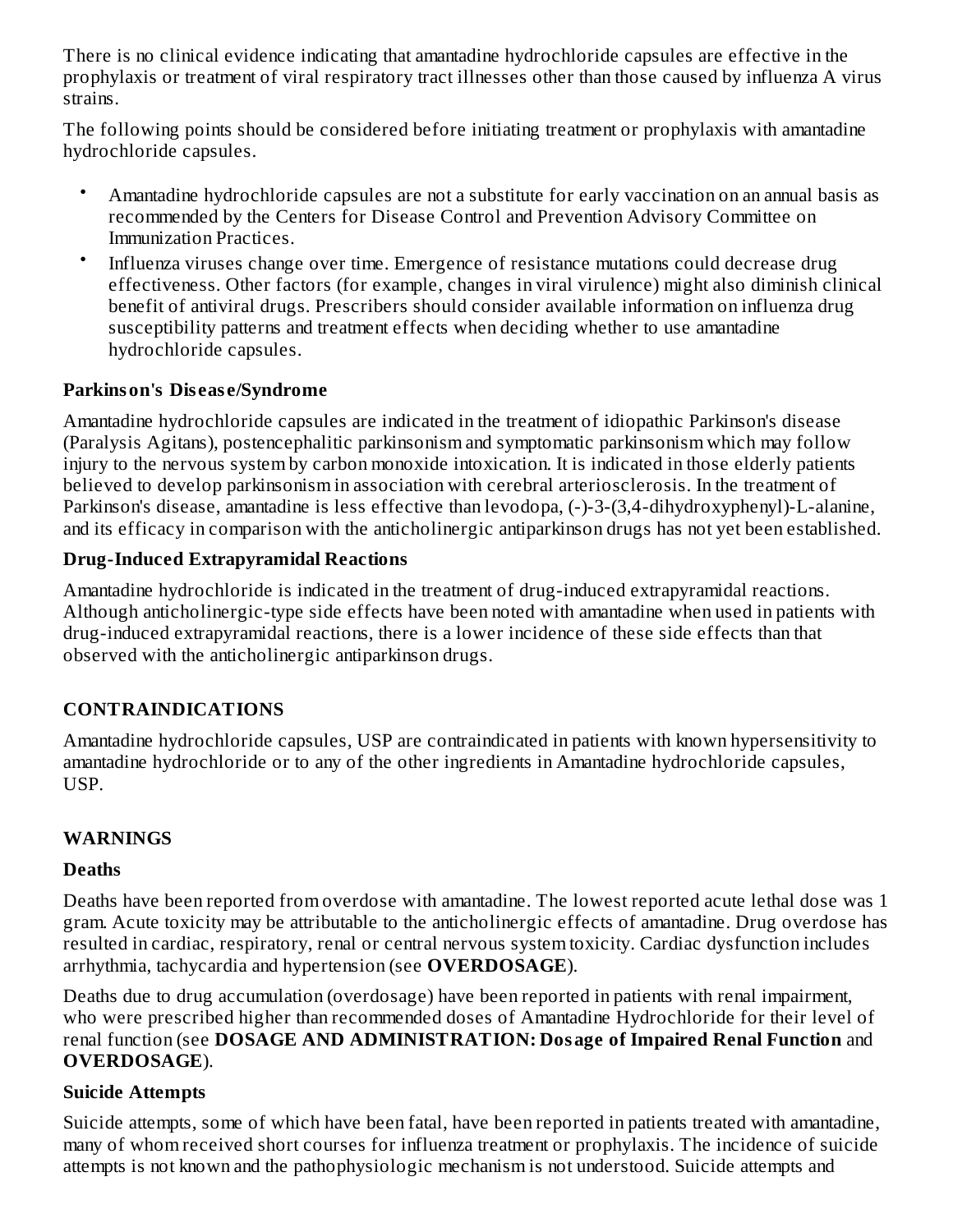There is no clinical evidence indicating that amantadine hydrochloride capsules are effective in the prophylaxis or treatment of viral respiratory tract illnesses other than those caused by influenza A virus strains.

The following points should be considered before initiating treatment or prophylaxis with amantadine hydrochloride capsules.

- Amantadine hydrochloride capsules are not a substitute for early vaccination on an annual basis as recommended by the Centers for Disease Control and Prevention Advisory Committee on Immunization Practices.
- Influenza viruses change over time. Emergence of resistance mutations could decrease drug effectiveness. Other factors (for example, changes in viral virulence) might also diminish clinical benefit of antiviral drugs. Prescribers should consider available information on influenza drug susceptibility patterns and treatment effects when deciding whether to use amantadine hydrochloride capsules.

#### **Parkinson's Dis eas e/Syndrome**

Amantadine hydrochloride capsules are indicated in the treatment of idiopathic Parkinson's disease (Paralysis Agitans), postencephalitic parkinsonism and symptomatic parkinsonism which may follow injury to the nervous system by carbon monoxide intoxication. It is indicated in those elderly patients believed to develop parkinsonism in association with cerebral arteriosclerosis. In the treatment of Parkinson's disease, amantadine is less effective than levodopa, (-)-3-(3,4-dihydroxyphenyl)-L-alanine, and its efficacy in comparison with the anticholinergic antiparkinson drugs has not yet been established.

#### **Drug-Induced Extrapyramidal Reactions**

Amantadine hydrochloride is indicated in the treatment of drug-induced extrapyramidal reactions. Although anticholinergic-type side effects have been noted with amantadine when used in patients with drug-induced extrapyramidal reactions, there is a lower incidence of these side effects than that observed with the anticholinergic antiparkinson drugs.

# **CONTRAINDICATIONS**

Amantadine hydrochloride capsules, USP are contraindicated in patients with known hypersensitivity to amantadine hydrochloride or to any of the other ingredients in Amantadine hydrochloride capsules, USP.

#### **WARNINGS**

#### **Deaths**

Deaths have been reported from overdose with amantadine. The lowest reported acute lethal dose was 1 gram. Acute toxicity may be attributable to the anticholinergic effects of amantadine. Drug overdose has resulted in cardiac, respiratory, renal or central nervous system toxicity. Cardiac dysfunction includes arrhythmia, tachycardia and hypertension (see **OVERDOSAGE**).

Deaths due to drug accumulation (overdosage) have been reported in patients with renal impairment, who were prescribed higher than recommended doses of Amantadine Hydrochloride for their level of renal function (see **DOSAGE AND ADMINISTRATION: Dosage of Impaired Renal Function** and **OVERDOSAGE**).

#### **Suicide Attempts**

Suicide attempts, some of which have been fatal, have been reported in patients treated with amantadine, many of whom received short courses for influenza treatment or prophylaxis. The incidence of suicide attempts is not known and the pathophysiologic mechanism is not understood. Suicide attempts and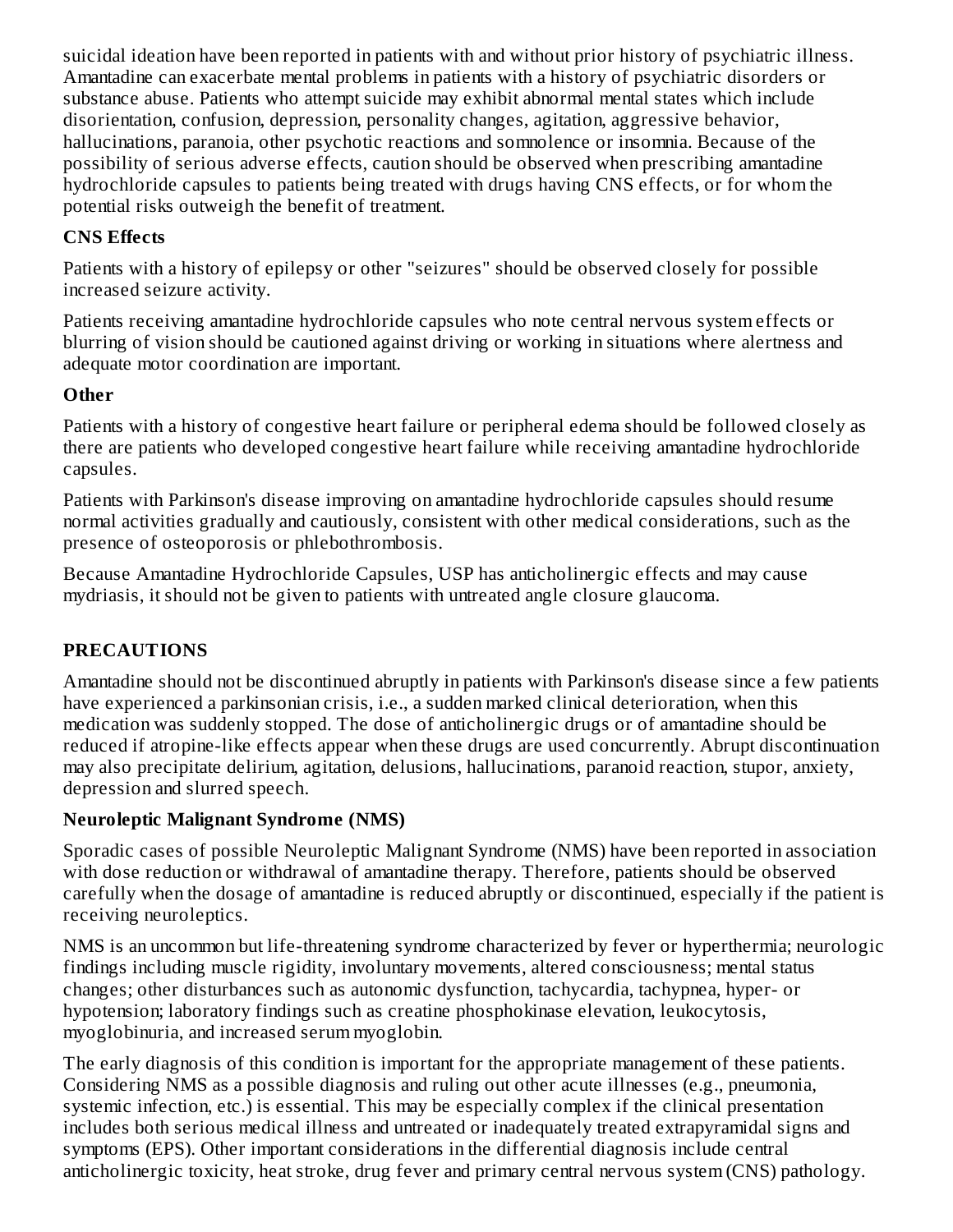suicidal ideation have been reported in patients with and without prior history of psychiatric illness. Amantadine can exacerbate mental problems in patients with a history of psychiatric disorders or substance abuse. Patients who attempt suicide may exhibit abnormal mental states which include disorientation, confusion, depression, personality changes, agitation, aggressive behavior, hallucinations, paranoia, other psychotic reactions and somnolence or insomnia. Because of the possibility of serious adverse effects, caution should be observed when prescribing amantadine hydrochloride capsules to patients being treated with drugs having CNS effects, or for whom the potential risks outweigh the benefit of treatment.

# **CNS Effects**

Patients with a history of epilepsy or other "seizures" should be observed closely for possible increased seizure activity.

Patients receiving amantadine hydrochloride capsules who note central nervous system effects or blurring of vision should be cautioned against driving or working in situations where alertness and adequate motor coordination are important.

# **Other**

Patients with a history of congestive heart failure or peripheral edema should be followed closely as there are patients who developed congestive heart failure while receiving amantadine hydrochloride capsules.

Patients with Parkinson's disease improving on amantadine hydrochloride capsules should resume normal activities gradually and cautiously, consistent with other medical considerations, such as the presence of osteoporosis or phlebothrombosis.

Because Amantadine Hydrochloride Capsules, USP has anticholinergic effects and may cause mydriasis, it should not be given to patients with untreated angle closure glaucoma.

# **PRECAUTIONS**

Amantadine should not be discontinued abruptly in patients with Parkinson's disease since a few patients have experienced a parkinsonian crisis, i.e., a sudden marked clinical deterioration, when this medication was suddenly stopped. The dose of anticholinergic drugs or of amantadine should be reduced if atropine-like effects appear when these drugs are used concurrently. Abrupt discontinuation may also precipitate delirium, agitation, delusions, hallucinations, paranoid reaction, stupor, anxiety, depression and slurred speech.

# **Neuroleptic Malignant Syndrome (NMS)**

Sporadic cases of possible Neuroleptic Malignant Syndrome (NMS) have been reported in association with dose reduction or withdrawal of amantadine therapy. Therefore, patients should be observed carefully when the dosage of amantadine is reduced abruptly or discontinued, especially if the patient is receiving neuroleptics.

NMS is an uncommon but life-threatening syndrome characterized by fever or hyperthermia; neurologic findings including muscle rigidity, involuntary movements, altered consciousness; mental status changes; other disturbances such as autonomic dysfunction, tachycardia, tachypnea, hyper- or hypotension; laboratory findings such as creatine phosphokinase elevation, leukocytosis, myoglobinuria, and increased serum myoglobin.

The early diagnosis of this condition is important for the appropriate management of these patients. Considering NMS as a possible diagnosis and ruling out other acute illnesses (e.g., pneumonia, systemic infection, etc.) is essential. This may be especially complex if the clinical presentation includes both serious medical illness and untreated or inadequately treated extrapyramidal signs and symptoms (EPS). Other important considerations in the differential diagnosis include central anticholinergic toxicity, heat stroke, drug fever and primary central nervous system (CNS) pathology.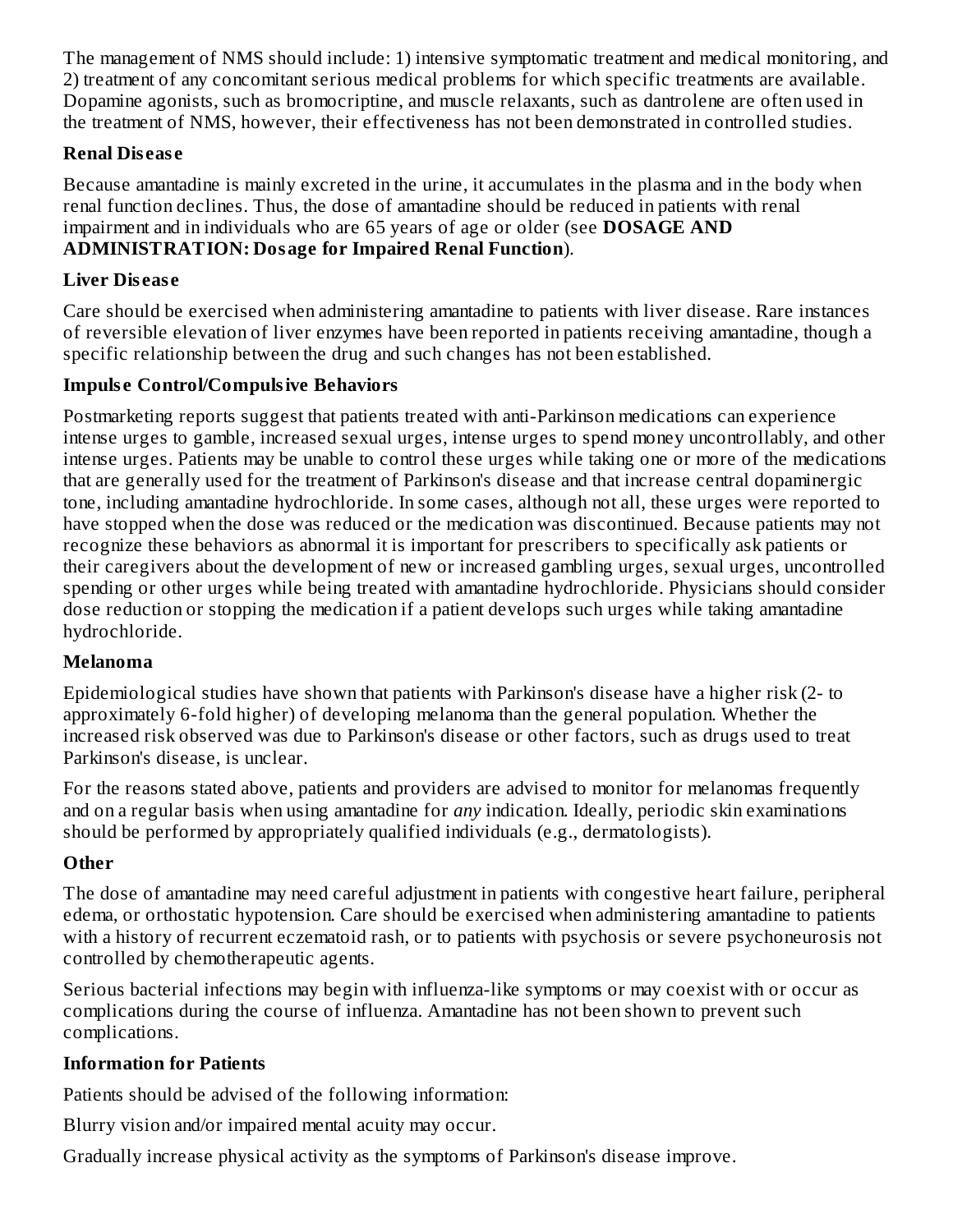The management of NMS should include: 1) intensive symptomatic treatment and medical monitoring, and 2) treatment of any concomitant serious medical problems for which specific treatments are available. Dopamine agonists, such as bromocriptine, and muscle relaxants, such as dantrolene are often used in the treatment of NMS, however, their effectiveness has not been demonstrated in controlled studies.

# **Renal Dis eas e**

Because amantadine is mainly excreted in the urine, it accumulates in the plasma and in the body when renal function declines. Thus, the dose of amantadine should be reduced in patients with renal impairment and in individuals who are 65 years of age or older (see **DOSAGE AND ADMINISTRATION: Dosage for Impaired Renal Function**).

# **Liver Dis eas e**

Care should be exercised when administering amantadine to patients with liver disease. Rare instances of reversible elevation of liver enzymes have been reported in patients receiving amantadine, though a specific relationship between the drug and such changes has not been established.

#### **Impuls e Control/Compulsive Behaviors**

Postmarketing reports suggest that patients treated with anti-Parkinson medications can experience intense urges to gamble, increased sexual urges, intense urges to spend money uncontrollably, and other intense urges. Patients may be unable to control these urges while taking one or more of the medications that are generally used for the treatment of Parkinson's disease and that increase central dopaminergic tone, including amantadine hydrochloride. In some cases, although not all, these urges were reported to have stopped when the dose was reduced or the medication was discontinued. Because patients may not recognize these behaviors as abnormal it is important for prescribers to specifically ask patients or their caregivers about the development of new or increased gambling urges, sexual urges, uncontrolled spending or other urges while being treated with amantadine hydrochloride. Physicians should consider dose reduction or stopping the medication if a patient develops such urges while taking amantadine hydrochloride.

#### **Melanoma**

Epidemiological studies have shown that patients with Parkinson's disease have a higher risk (2- to approximately 6-fold higher) of developing melanoma than the general population. Whether the increased risk observed was due to Parkinson's disease or other factors, such as drugs used to treat Parkinson's disease, is unclear.

For the reasons stated above, patients and providers are advised to monitor for melanomas frequently and on a regular basis when using amantadine for *any* indication. Ideally, periodic skin examinations should be performed by appropriately qualified individuals (e.g., dermatologists).

# **Other**

The dose of amantadine may need careful adjustment in patients with congestive heart failure, peripheral edema, or orthostatic hypotension. Care should be exercised when administering amantadine to patients with a history of recurrent eczematoid rash, or to patients with psychosis or severe psychoneurosis not controlled by chemotherapeutic agents.

Serious bacterial infections may begin with influenza-like symptoms or may coexist with or occur as complications during the course of influenza. Amantadine has not been shown to prevent such complications.

# **Information for Patients**

Patients should be advised of the following information:

Blurry vision and/or impaired mental acuity may occur.

Gradually increase physical activity as the symptoms of Parkinson's disease improve.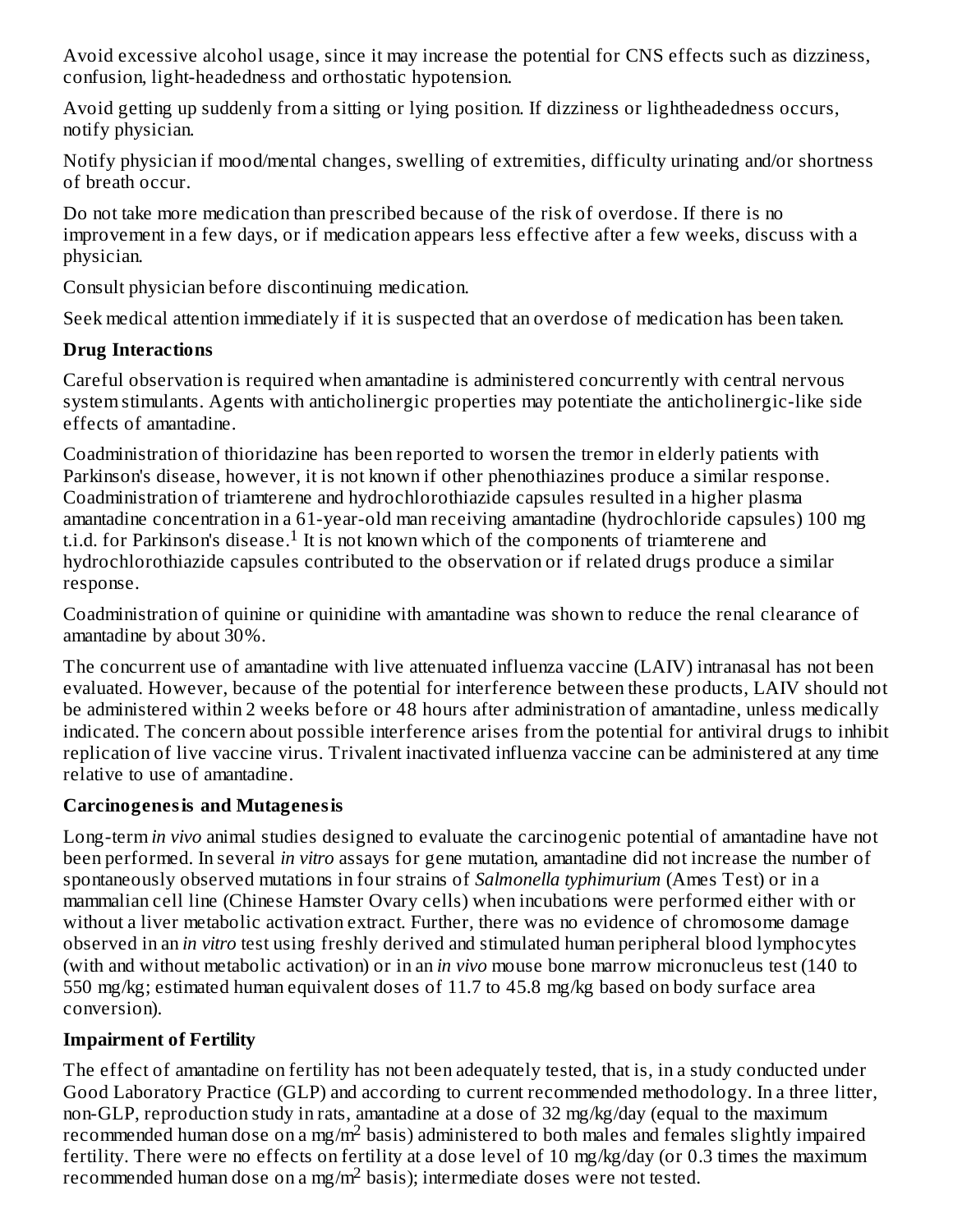Avoid excessive alcohol usage, since it may increase the potential for CNS effects such as dizziness, confusion, light-headedness and orthostatic hypotension.

Avoid getting up suddenly from a sitting or lying position. If dizziness or lightheadedness occurs, notify physician.

Notify physician if mood/mental changes, swelling of extremities, difficulty urinating and/or shortness of breath occur.

Do not take more medication than prescribed because of the risk of overdose. If there is no improvement in a few days, or if medication appears less effective after a few weeks, discuss with a physician.

Consult physician before discontinuing medication.

Seek medical attention immediately if it is suspected that an overdose of medication has been taken.

# **Drug Interactions**

Careful observation is required when amantadine is administered concurrently with central nervous system stimulants. Agents with anticholinergic properties may potentiate the anticholinergic-like side effects of amantadine.

Coadministration of thioridazine has been reported to worsen the tremor in elderly patients with Parkinson's disease, however, it is not known if other phenothiazines produce a similar response. Coadministration of triamterene and hydrochlorothiazide capsules resulted in a higher plasma amantadine concentration in a 61-year-old man receiving amantadine (hydrochloride capsules) 100 mg t.i.d. for Parkinson's disease.<sup>1</sup> It is not known which of the components of triamterene and hydrochlorothiazide capsules contributed to the observation or if related drugs produce a similar response.

Coadministration of quinine or quinidine with amantadine was shown to reduce the renal clearance of amantadine by about 30%.

The concurrent use of amantadine with live attenuated influenza vaccine (LAIV) intranasal has not been evaluated. However, because of the potential for interference between these products, LAIV should not be administered within 2 weeks before or 48 hours after administration of amantadine, unless medically indicated. The concern about possible interference arises from the potential for antiviral drugs to inhibit replication of live vaccine virus. Trivalent inactivated influenza vaccine can be administered at any time relative to use of amantadine.

# **Carcinogenesis and Mutagenesis**

Long-term *in vivo* animal studies designed to evaluate the carcinogenic potential of amantadine have not been performed. In several *in vitro* assays for gene mutation, amantadine did not increase the number of spontaneously observed mutations in four strains of *Salmonella typhimurium* (Ames Test) or in a mammalian cell line (Chinese Hamster Ovary cells) when incubations were performed either with or without a liver metabolic activation extract. Further, there was no evidence of chromosome damage observed in an *in vitro* test using freshly derived and stimulated human peripheral blood lymphocytes (with and without metabolic activation) or in an *in vivo* mouse bone marrow micronucleus test (140 to 550 mg/kg; estimated human equivalent doses of 11.7 to 45.8 mg/kg based on body surface area conversion).

# **Impairment of Fertility**

The effect of amantadine on fertility has not been adequately tested, that is, in a study conducted under Good Laboratory Practice (GLP) and according to current recommended methodology. In a three litter, non-GLP, reproduction study in rats, amantadine at a dose of 32 mg/kg/day (equal to the maximum recommended human dose on a mg/m<sup>2</sup> basis) administered to both males and females slightly impaired fertility. There were no effects on fertility at a dose level of 10 mg/kg/day (or 0.3 times the maximum recommended human dose on a mg/m<sup>2</sup> basis); intermediate doses were not tested.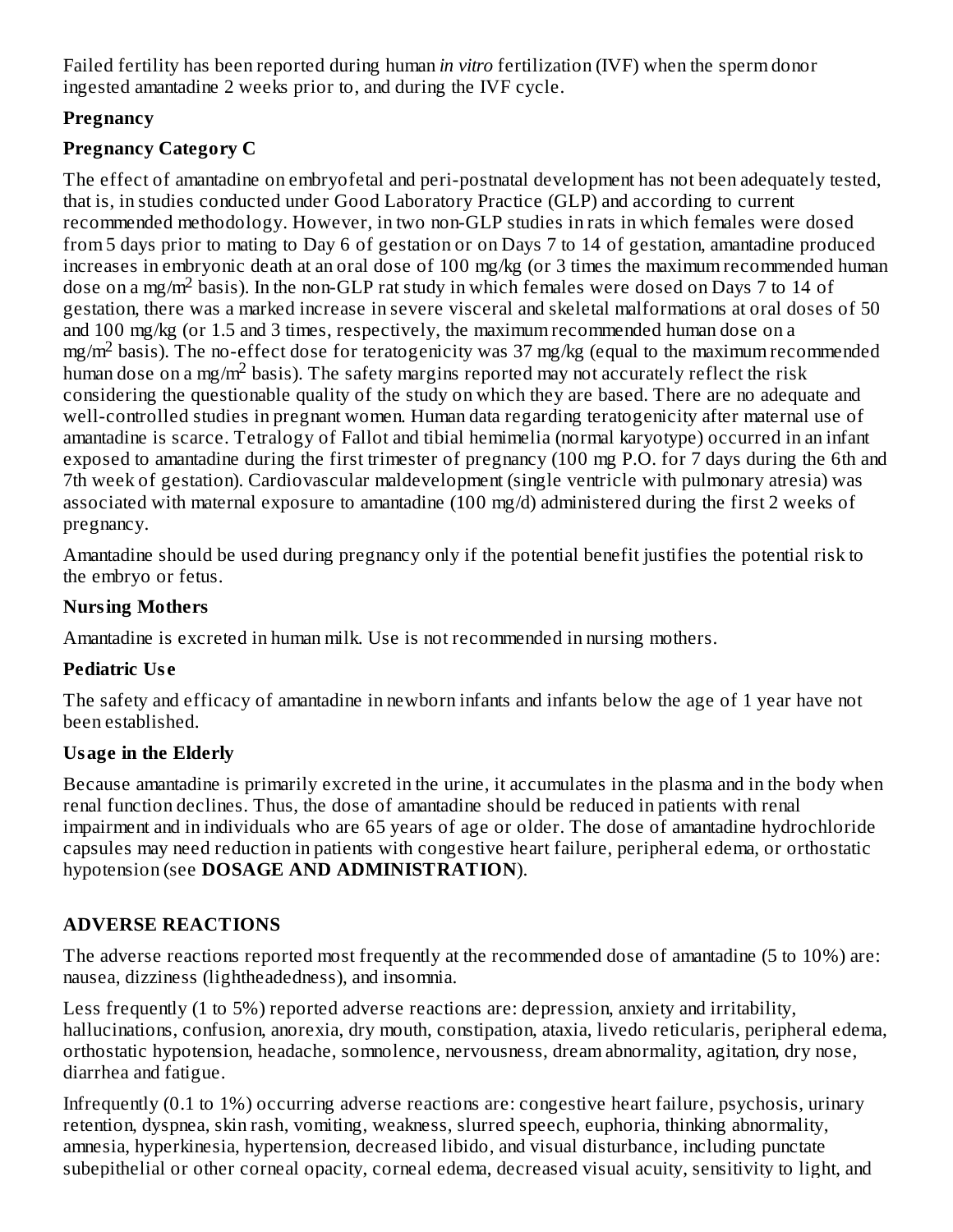Failed fertility has been reported during human *in vitro* fertilization (IVF) when the sperm donor ingested amantadine 2 weeks prior to, and during the IVF cycle.

#### **Pregnancy**

# **Pregnancy Category C**

The effect of amantadine on embryofetal and peri-postnatal development has not been adequately tested, that is, in studies conducted under Good Laboratory Practice (GLP) and according to current recommended methodology. However, in two non-GLP studies in rats in which females were dosed from 5 days prior to mating to Day 6 of gestation or on Days 7 to 14 of gestation, amantadine produced increases in embryonic death at an oral dose of 100 mg/kg (or 3 times the maximum recommended human dose on a mg/m<sup>2</sup> basis). In the non-GLP rat study in which females were dosed on Days 7 to 14 of gestation, there was a marked increase in severe visceral and skeletal malformations at oral doses of 50 and 100 mg/kg (or 1.5 and 3 times, respectively, the maximum recommended human dose on a  $mg/m<sup>2</sup>$  basis). The no-effect dose for teratogenicity was 37 mg/kg (equal to the maximum recommended human dose on a mg/m<sup>2</sup> basis). The safety margins reported may not accurately reflect the risk considering the questionable quality of the study on which they are based. There are no adequate and well-controlled studies in pregnant women. Human data regarding teratogenicity after maternal use of amantadine is scarce. Tetralogy of Fallot and tibial hemimelia (normal karyotype) occurred in an infant exposed to amantadine during the first trimester of pregnancy (100 mg P.O. for 7 days during the 6th and 7th week of gestation). Cardiovascular maldevelopment (single ventricle with pulmonary atresia) was associated with maternal exposure to amantadine (100 mg/d) administered during the first 2 weeks of pregnancy.

Amantadine should be used during pregnancy only if the potential benefit justifies the potential risk to the embryo or fetus.

#### **Nursing Mothers**

Amantadine is excreted in human milk. Use is not recommended in nursing mothers.

#### **Pediatric Us e**

The safety and efficacy of amantadine in newborn infants and infants below the age of 1 year have not been established.

# **Usage in the Elderly**

Because amantadine is primarily excreted in the urine, it accumulates in the plasma and in the body when renal function declines. Thus, the dose of amantadine should be reduced in patients with renal impairment and in individuals who are 65 years of age or older. The dose of amantadine hydrochloride capsules may need reduction in patients with congestive heart failure, peripheral edema, or orthostatic hypotension (see **DOSAGE AND ADMINISTRATION**).

# **ADVERSE REACTIONS**

The adverse reactions reported most frequently at the recommended dose of amantadine (5 to 10%) are: nausea, dizziness (lightheadedness), and insomnia.

Less frequently (1 to 5%) reported adverse reactions are: depression, anxiety and irritability, hallucinations, confusion, anorexia, dry mouth, constipation, ataxia, livedo reticularis, peripheral edema, orthostatic hypotension, headache, somnolence, nervousness, dream abnormality, agitation, dry nose, diarrhea and fatigue.

Infrequently (0.1 to 1%) occurring adverse reactions are: congestive heart failure, psychosis, urinary retention, dyspnea, skin rash, vomiting, weakness, slurred speech, euphoria, thinking abnormality, amnesia, hyperkinesia, hypertension, decreased libido, and visual disturbance, including punctate subepithelial or other corneal opacity, corneal edema, decreased visual acuity, sensitivity to light, and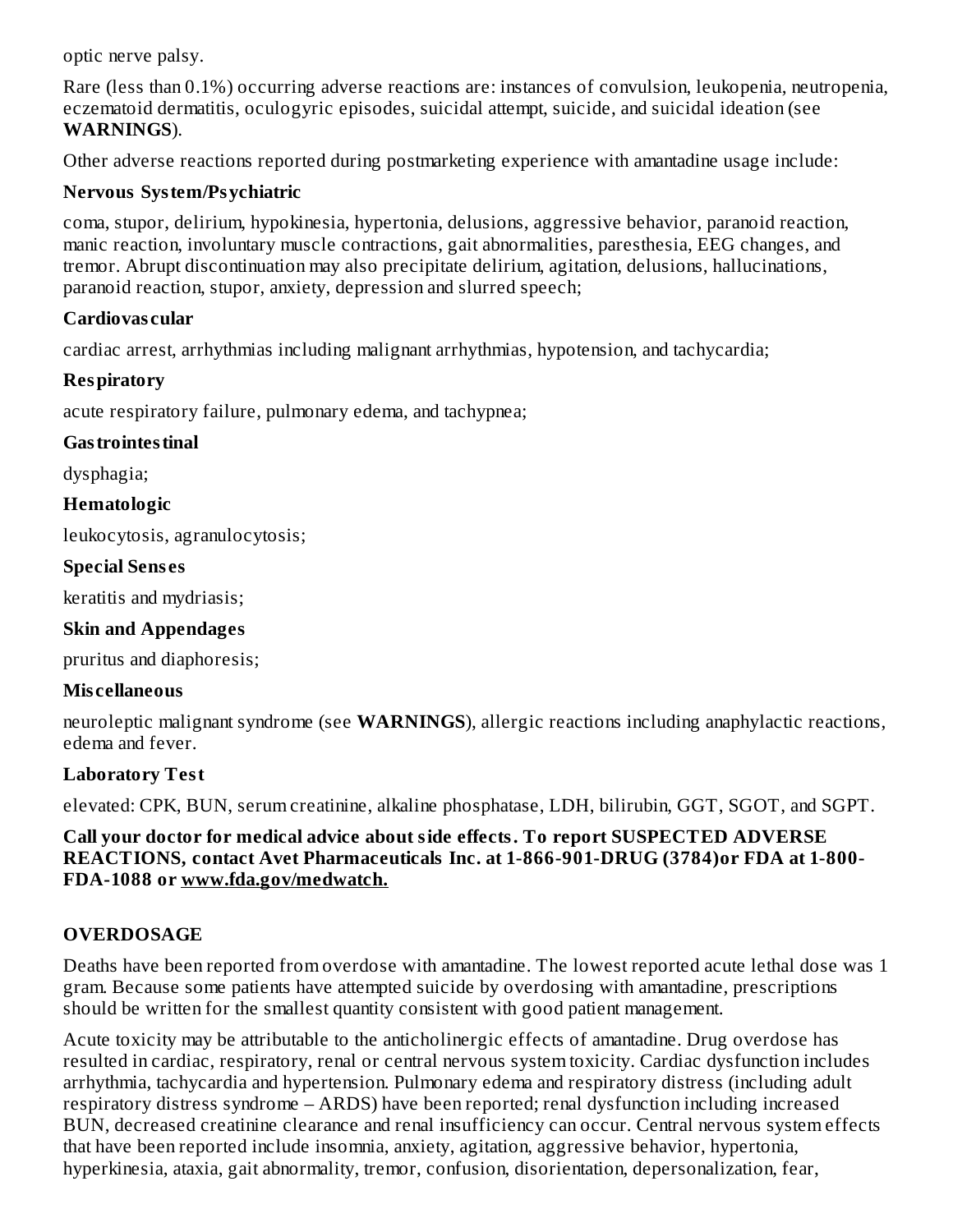optic nerve palsy.

Rare (less than 0.1%) occurring adverse reactions are: instances of convulsion, leukopenia, neutropenia, eczematoid dermatitis, oculogyric episodes, suicidal attempt, suicide, and suicidal ideation (see **WARNINGS**).

Other adverse reactions reported during postmarketing experience with amantadine usage include:

#### **Nervous System/Psychiatric**

coma, stupor, delirium, hypokinesia, hypertonia, delusions, aggressive behavior, paranoid reaction, manic reaction, involuntary muscle contractions, gait abnormalities, paresthesia, EEG changes, and tremor. Abrupt discontinuation may also precipitate delirium, agitation, delusions, hallucinations, paranoid reaction, stupor, anxiety, depression and slurred speech;

#### **Cardiovas cular**

cardiac arrest, arrhythmias including malignant arrhythmias, hypotension, and tachycardia;

# **Respiratory**

acute respiratory failure, pulmonary edema, and tachypnea;

#### **Gastrointestinal**

dysphagia;

#### **Hematologic**

leukocytosis, agranulocytosis;

#### **Special Sens es**

keratitis and mydriasis;

# **Skin and Appendages**

pruritus and diaphoresis;

# **Mis cellaneous**

neuroleptic malignant syndrome (see **WARNINGS**), allergic reactions including anaphylactic reactions, edema and fever.

# **Laboratory Test**

elevated: CPK, BUN, serum creatinine, alkaline phosphatase, LDH, bilirubin, GGT, SGOT, and SGPT.

#### **Call your doctor for medical advice about side effects. To report SUSPECTED ADVERSE REACTIONS, contact Avet Pharmaceuticals Inc. at 1-866-901-DRUG (3784)or FDA at 1-800- FDA-1088 or www.fda.gov/medwatch.**

# **OVERDOSAGE**

Deaths have been reported from overdose with amantadine. The lowest reported acute lethal dose was 1 gram. Because some patients have attempted suicide by overdosing with amantadine, prescriptions should be written for the smallest quantity consistent with good patient management.

Acute toxicity may be attributable to the anticholinergic effects of amantadine. Drug overdose has resulted in cardiac, respiratory, renal or central nervous system toxicity. Cardiac dysfunction includes arrhythmia, tachycardia and hypertension. Pulmonary edema and respiratory distress (including adult respiratory distress syndrome – ARDS) have been reported; renal dysfunction including increased BUN, decreased creatinine clearance and renal insufficiency can occur. Central nervous system effects that have been reported include insomnia, anxiety, agitation, aggressive behavior, hypertonia, hyperkinesia, ataxia, gait abnormality, tremor, confusion, disorientation, depersonalization, fear,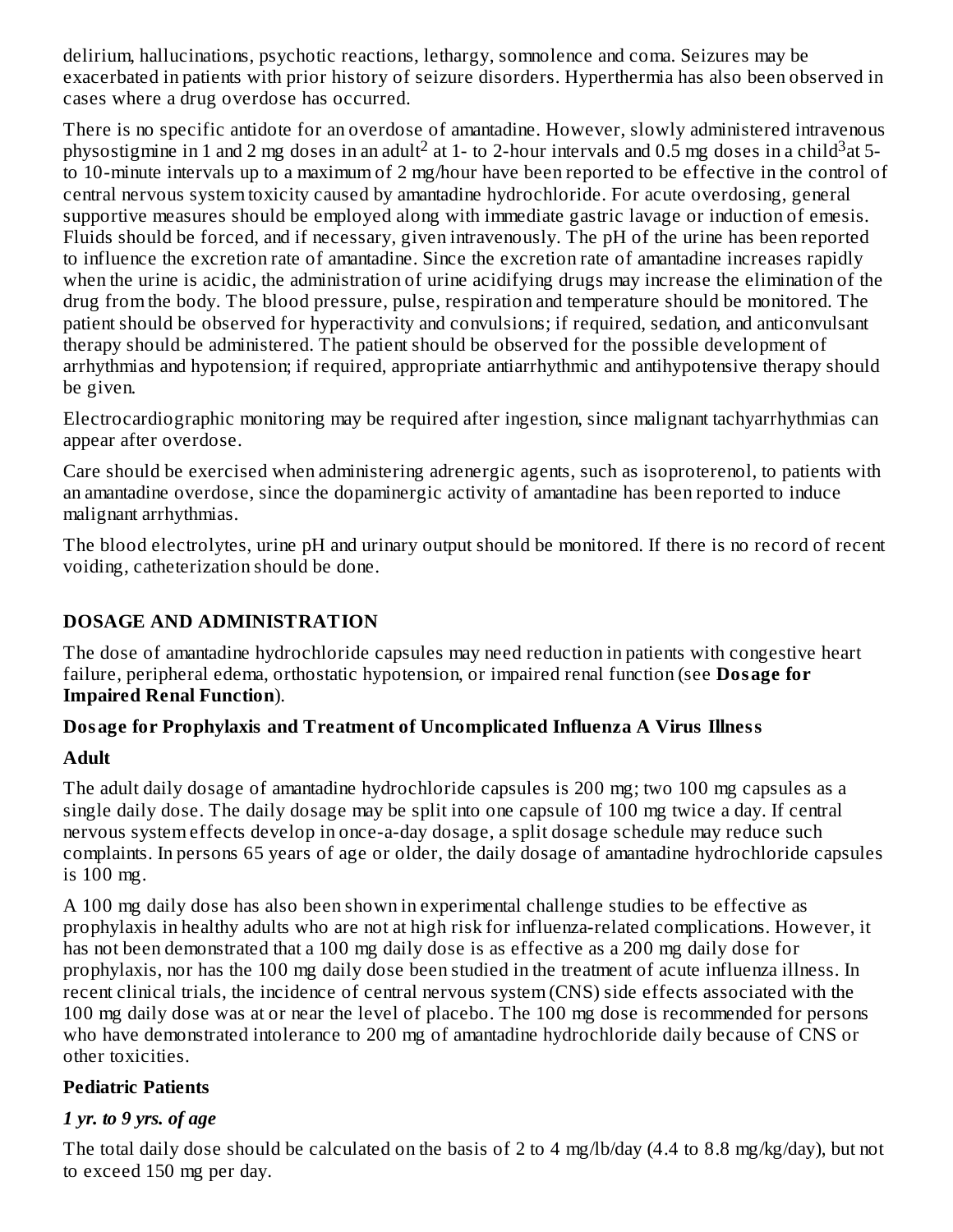delirium, hallucinations, psychotic reactions, lethargy, somnolence and coma. Seizures may be exacerbated in patients with prior history of seizure disorders. Hyperthermia has also been observed in cases where a drug overdose has occurred.

There is no specific antidote for an overdose of amantadine. However, slowly administered intravenous physostigmine in 1 and 2 mg doses in an adult<sup>2</sup> at 1- to 2-hour intervals and 0.5 mg doses in a child<sup>3</sup>at 5to 10-minute intervals up to a maximum of 2 mg/hour have been reported to be effective in the control of central nervous system toxicity caused by amantadine hydrochloride. For acute overdosing, general supportive measures should be employed along with immediate gastric lavage or induction of emesis. Fluids should be forced, and if necessary, given intravenously. The pH of the urine has been reported to influence the excretion rate of amantadine. Since the excretion rate of amantadine increases rapidly when the urine is acidic, the administration of urine acidifying drugs may increase the elimination of the drug from the body. The blood pressure, pulse, respiration and temperature should be monitored. The patient should be observed for hyperactivity and convulsions; if required, sedation, and anticonvulsant therapy should be administered. The patient should be observed for the possible development of arrhythmias and hypotension; if required, appropriate antiarrhythmic and antihypotensive therapy should be given.

Electrocardiographic monitoring may be required after ingestion, since malignant tachyarrhythmias can appear after overdose.

Care should be exercised when administering adrenergic agents, such as isoproterenol, to patients with an amantadine overdose, since the dopaminergic activity of amantadine has been reported to induce malignant arrhythmias.

The blood electrolytes, urine pH and urinary output should be monitored. If there is no record of recent voiding, catheterization should be done.

# **DOSAGE AND ADMINISTRATION**

The dose of amantadine hydrochloride capsules may need reduction in patients with congestive heart failure, peripheral edema, orthostatic hypotension, or impaired renal function (see **Dosage for Impaired Renal Function**).

# **Dosage for Prophylaxis and Treatment of Uncomplicated Influenza A Virus Illness**

#### **Adult**

The adult daily dosage of amantadine hydrochloride capsules is 200 mg; two 100 mg capsules as a single daily dose. The daily dosage may be split into one capsule of 100 mg twice a day. If central nervous system effects develop in once-a-day dosage, a split dosage schedule may reduce such complaints. In persons 65 years of age or older, the daily dosage of amantadine hydrochloride capsules is 100 mg.

A 100 mg daily dose has also been shown in experimental challenge studies to be effective as prophylaxis in healthy adults who are not at high risk for influenza-related complications. However, it has not been demonstrated that a 100 mg daily dose is as effective as a 200 mg daily dose for prophylaxis, nor has the 100 mg daily dose been studied in the treatment of acute influenza illness. In recent clinical trials, the incidence of central nervous system (CNS) side effects associated with the 100 mg daily dose was at or near the level of placebo. The 100 mg dose is recommended for persons who have demonstrated intolerance to 200 mg of amantadine hydrochloride daily because of CNS or other toxicities.

# **Pediatric Patients**

# *1 yr. to 9 yrs. of age*

The total daily dose should be calculated on the basis of 2 to 4 mg/lb/day (4.4 to 8.8 mg/kg/day), but not to exceed 150 mg per day.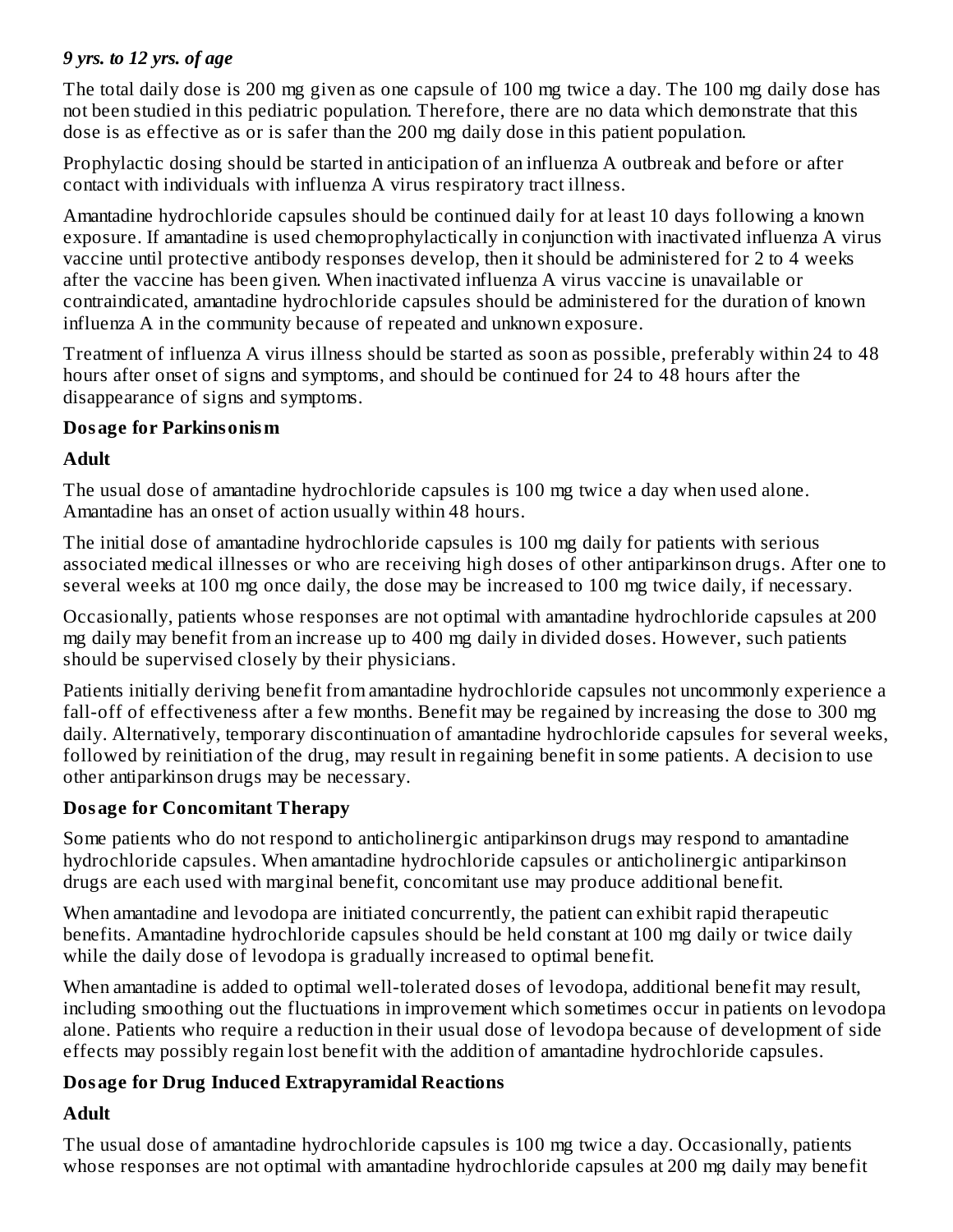# *9 yrs. to 12 yrs. of age*

The total daily dose is 200 mg given as one capsule of 100 mg twice a day. The 100 mg daily dose has not been studied in this pediatric population. Therefore, there are no data which demonstrate that this dose is as effective as or is safer than the 200 mg daily dose in this patient population.

Prophylactic dosing should be started in anticipation of an influenza A outbreak and before or after contact with individuals with influenza A virus respiratory tract illness.

Amantadine hydrochloride capsules should be continued daily for at least 10 days following a known exposure. If amantadine is used chemoprophylactically in conjunction with inactivated influenza A virus vaccine until protective antibody responses develop, then it should be administered for 2 to 4 weeks after the vaccine has been given. When inactivated influenza A virus vaccine is unavailable or contraindicated, amantadine hydrochloride capsules should be administered for the duration of known influenza A in the community because of repeated and unknown exposure.

Treatment of influenza A virus illness should be started as soon as possible, preferably within 24 to 48 hours after onset of signs and symptoms, and should be continued for 24 to 48 hours after the disappearance of signs and symptoms.

#### **Dosage for Parkinsonism**

#### **Adult**

The usual dose of amantadine hydrochloride capsules is 100 mg twice a day when used alone. Amantadine has an onset of action usually within 48 hours.

The initial dose of amantadine hydrochloride capsules is 100 mg daily for patients with serious associated medical illnesses or who are receiving high doses of other antiparkinson drugs. After one to several weeks at 100 mg once daily, the dose may be increased to 100 mg twice daily, if necessary.

Occasionally, patients whose responses are not optimal with amantadine hydrochloride capsules at 200 mg daily may benefit from an increase up to 400 mg daily in divided doses. However, such patients should be supervised closely by their physicians.

Patients initially deriving benefit from amantadine hydrochloride capsules not uncommonly experience a fall-off of effectiveness after a few months. Benefit may be regained by increasing the dose to 300 mg daily. Alternatively, temporary discontinuation of amantadine hydrochloride capsules for several weeks, followed by reinitiation of the drug, may result in regaining benefit in some patients. A decision to use other antiparkinson drugs may be necessary.

#### **Dosage for Concomitant Therapy**

Some patients who do not respond to anticholinergic antiparkinson drugs may respond to amantadine hydrochloride capsules. When amantadine hydrochloride capsules or anticholinergic antiparkinson drugs are each used with marginal benefit, concomitant use may produce additional benefit.

When amantadine and levodopa are initiated concurrently, the patient can exhibit rapid therapeutic benefits. Amantadine hydrochloride capsules should be held constant at 100 mg daily or twice daily while the daily dose of levodopa is gradually increased to optimal benefit.

When amantadine is added to optimal well-tolerated doses of levodopa, additional benefit may result, including smoothing out the fluctuations in improvement which sometimes occur in patients on levodopa alone. Patients who require a reduction in their usual dose of levodopa because of development of side effects may possibly regain lost benefit with the addition of amantadine hydrochloride capsules.

#### **Dosage for Drug Induced Extrapyramidal Reactions**

# **Adult**

The usual dose of amantadine hydrochloride capsules is 100 mg twice a day. Occasionally, patients whose responses are not optimal with amantadine hydrochloride capsules at 200 mg daily may benefit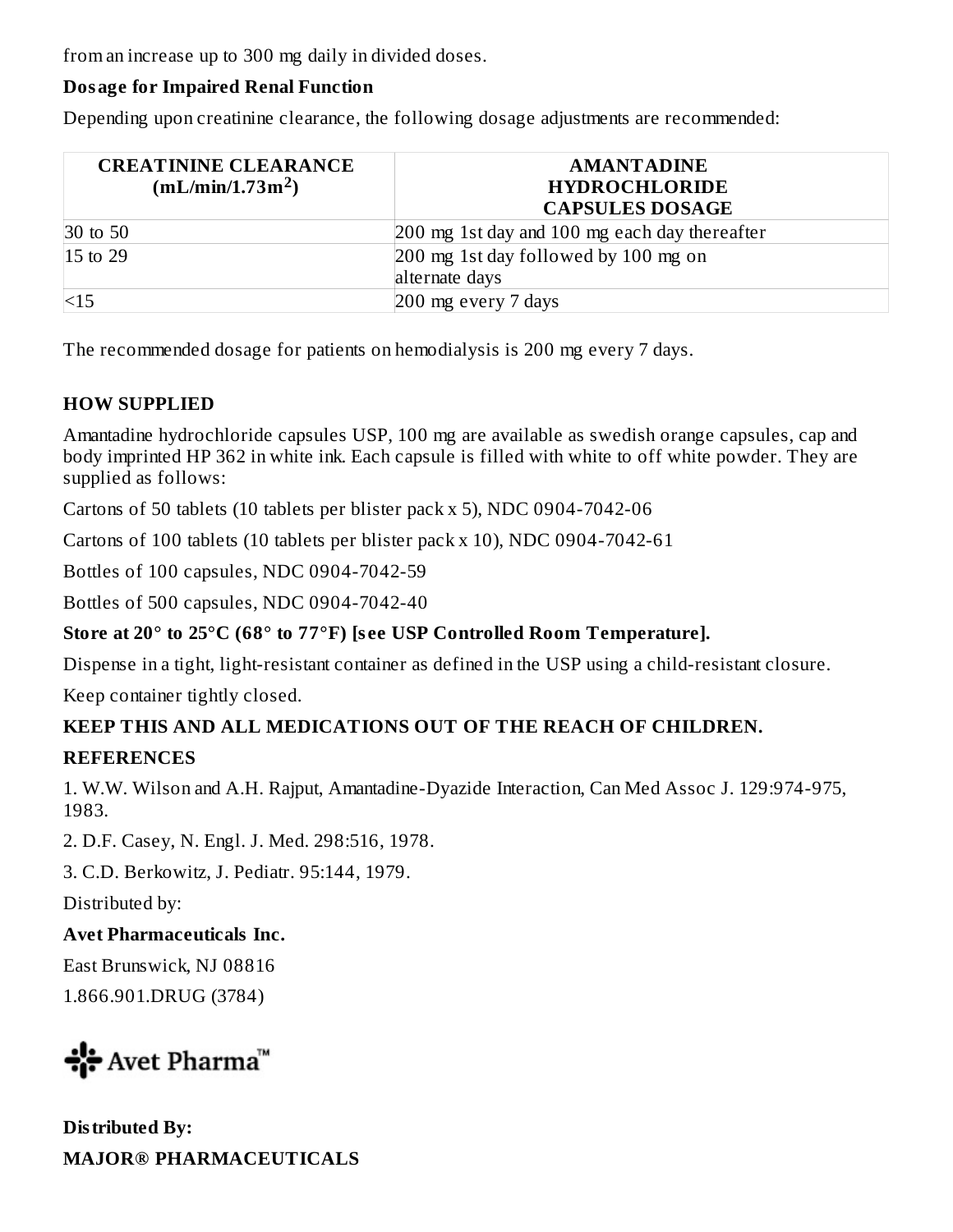from an increase up to 300 mg daily in divided doses.

#### **Dosage for Impaired Renal Function**

Depending upon creatinine clearance, the following dosage adjustments are recommended:

| <b>CREATININE CLEARANCE</b><br>(mL/min/1.73m <sup>2</sup> ) | <b>AMANTADINE</b><br><b>HYDROCHLORIDE</b><br><b>CAPSULES DOSAGE</b> |
|-------------------------------------------------------------|---------------------------------------------------------------------|
| $ 30 \text{ to } 50$                                        | 200 mg 1st day and 100 mg each day thereafter                       |
| $15$ to 29                                                  | 200 mg 1st day followed by 100 mg on<br>alternate days              |
| $\leq$ 15                                                   | 200 mg every 7 days                                                 |

The recommended dosage for patients on hemodialysis is 200 mg every 7 days.

#### **HOW SUPPLIED**

Amantadine hydrochloride capsules USP, 100 mg are available as swedish orange capsules, cap and body imprinted HP 362 in white ink. Each capsule is filled with white to off white powder. They are supplied as follows:

Cartons of 50 tablets (10 tablets per blister pack x 5), NDC 0904-7042-06

Cartons of 100 tablets (10 tablets per blister pack x 10), NDC 0904-7042-61

Bottles of 100 capsules, NDC 0904-7042-59

Bottles of 500 capsules, NDC 0904-7042-40

# **Store at 20° to 25°C (68° to 77°F) [s ee USP Controlled Room Temperature].**

Dispense in a tight, light-resistant container as defined in the USP using a child-resistant closure.

Keep container tightly closed.

# **KEEP THIS AND ALL MEDICATIONS OUT OF THE REACH OF CHILDREN.**

#### **REFERENCES**

1. W.W. Wilson and A.H. Rajput, Amantadine-Dyazide Interaction, Can Med Assoc J. 129:974-975, 1983.

2. D.F. Casey, N. Engl. J. Med. 298:516, 1978.

3. C.D. Berkowitz, J. Pediatr. 95:144, 1979.

Distributed by:

# **Avet Pharmaceuticals Inc.**

East Brunswick, NJ 08816

1.866.901.DRUG (3784)

<del>∹¦:</del> Avet Pharma™

**Distributed By: MAJOR® PHARMACEUTICALS**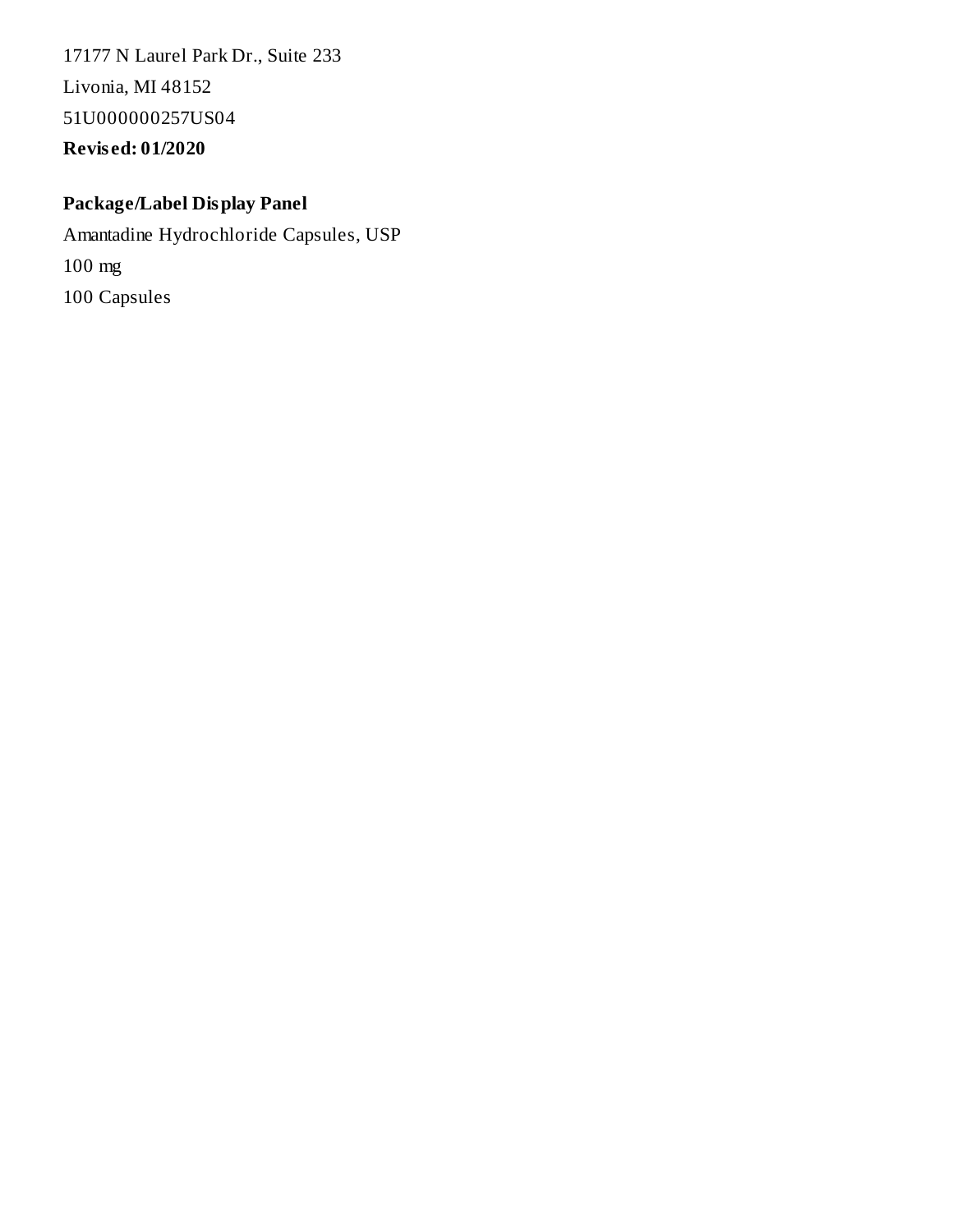17177 N Laurel Park Dr., Suite 233 Livonia, MI 48152 51U000000257US04 **Revis ed: 01/2020**

# **Package/Label Display Panel**

Amantadine Hydrochloride Capsules, USP 100 mg 100 Capsules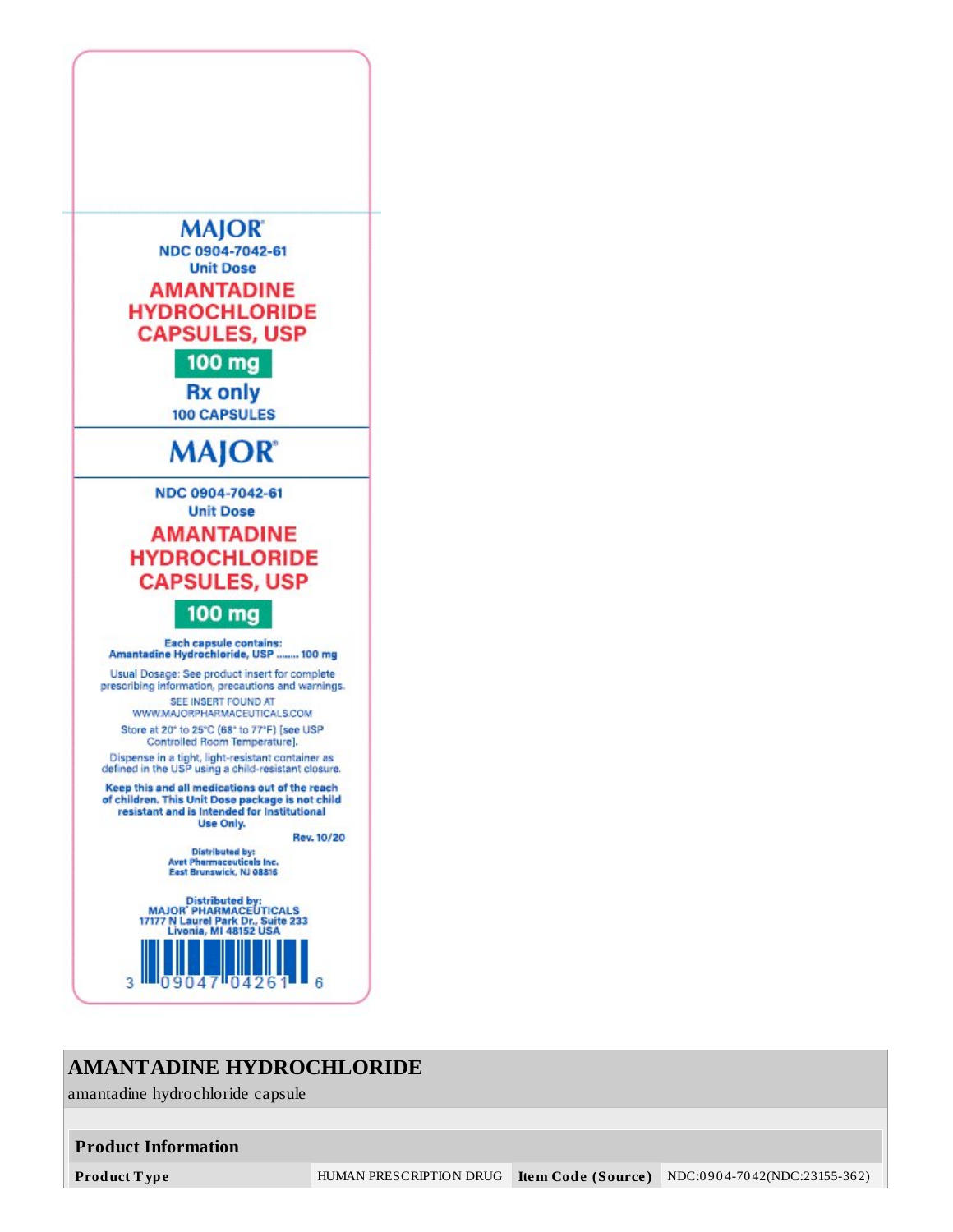

# **AMANTADINE HYDROCHLORIDE**

amantadine hydrochloride capsule

#### **Product Information**

**Product T ype** HUMAN PRESCRIPTION DRUG **Ite m Code (Source )** NDC:0 9 0 4-70 42(NDC:23155-36 2)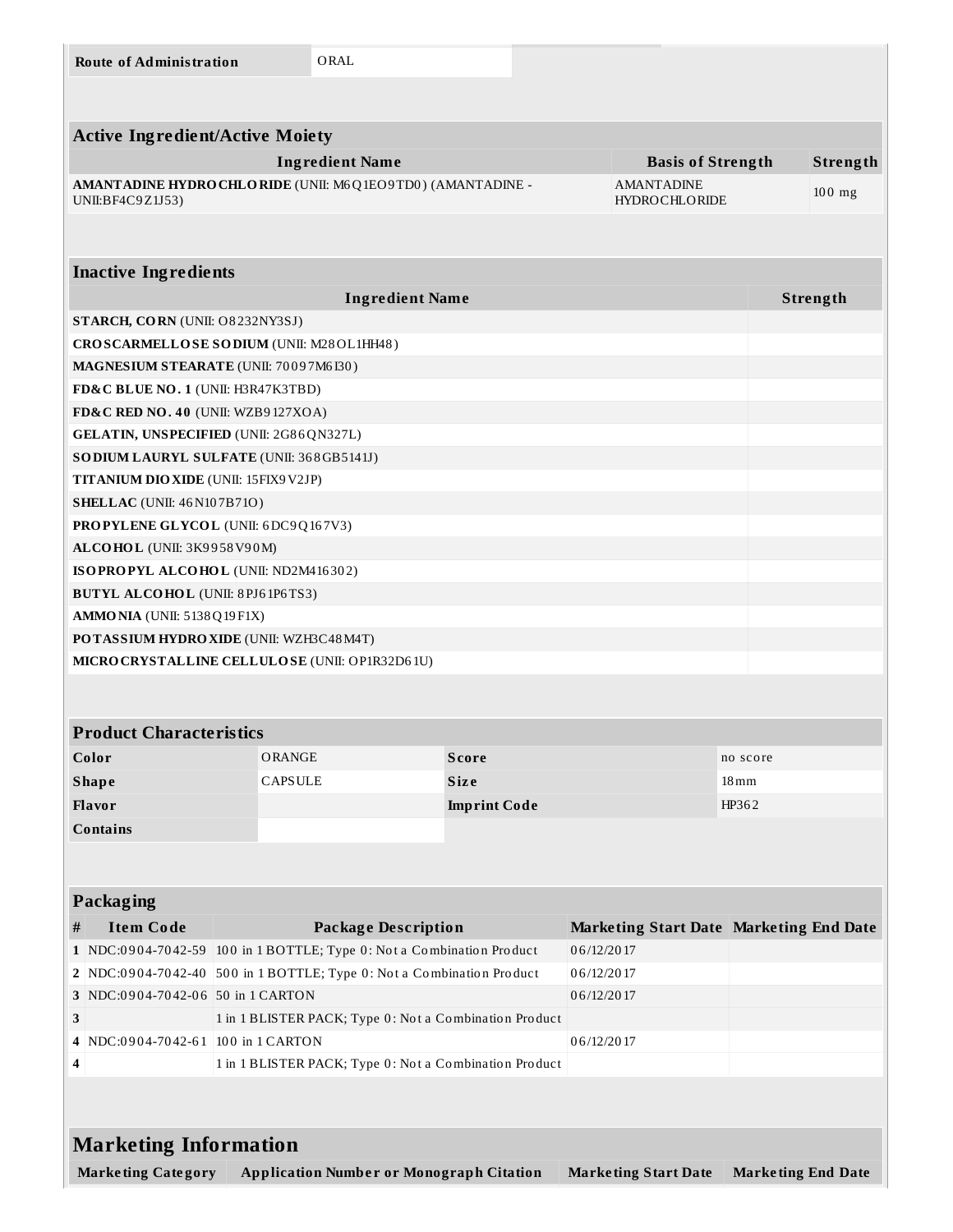|                                                            | <b>Route of Administration</b>                         |                                                                       | ORAL                                                                  |             |                                         |                           |          |  |
|------------------------------------------------------------|--------------------------------------------------------|-----------------------------------------------------------------------|-----------------------------------------------------------------------|-------------|-----------------------------------------|---------------------------|----------|--|
|                                                            |                                                        |                                                                       |                                                                       |             |                                         |                           |          |  |
|                                                            | <b>Active Ingredient/Active Moiety</b>                 |                                                                       |                                                                       |             |                                         |                           |          |  |
|                                                            | <b>Ingredient Name</b>                                 |                                                                       |                                                                       |             | <b>Basis of Strength</b>                |                           | Strength |  |
| AMANTADINE HYDRO CHLORIDE (UNII: M6Q1EO9TD0) (AMANTADINE - |                                                        |                                                                       | <b>AMANTADINE</b>                                                     |             |                                         |                           |          |  |
|                                                            | UNII:BF4C9Z1J53)                                       |                                                                       |                                                                       |             | <b>HYDROCHLORIDE</b>                    |                           | $100$ mg |  |
|                                                            |                                                        |                                                                       |                                                                       |             |                                         |                           |          |  |
|                                                            |                                                        |                                                                       |                                                                       |             |                                         |                           |          |  |
| <b>Inactive Ingredients</b>                                |                                                        |                                                                       |                                                                       |             |                                         |                           |          |  |
| <b>Ingredient Name</b>                                     |                                                        |                                                                       |                                                                       |             |                                         | Strength                  |          |  |
| <b>STARCH, CORN (UNII: O8232NY3SJ)</b>                     |                                                        |                                                                       |                                                                       |             |                                         |                           |          |  |
|                                                            | CROSCARMELLOSE SODIUM (UNII: M28OL1HH48)               |                                                                       |                                                                       |             |                                         |                           |          |  |
|                                                            | MAGNESIUM STEARATE (UNII: 70097M6I30)                  |                                                                       |                                                                       |             |                                         |                           |          |  |
| FD&C BLUE NO. 1 (UNII: H3R47K3TBD)                         |                                                        |                                                                       |                                                                       |             |                                         |                           |          |  |
|                                                            | FD&C RED NO. 40 (UNII: WZB9127XOA)                     |                                                                       |                                                                       |             |                                         |                           |          |  |
|                                                            | <b>GELATIN, UNSPECIFIED (UNII: 2G86QN327L)</b>         |                                                                       |                                                                       |             |                                         |                           |          |  |
| SO DIUM LAURYL SULFATE (UNII: 368GB5141J)                  |                                                        |                                                                       |                                                                       |             |                                         |                           |          |  |
| <b>TITANIUM DIO XIDE (UNII: 15FIX9 V2JP)</b>               |                                                        |                                                                       |                                                                       |             |                                         |                           |          |  |
| <b>SHELLAC</b> (UNII: 46 N107B71O)                         |                                                        |                                                                       |                                                                       |             |                                         |                           |          |  |
| <b>PROPYLENE GLYCOL</b> (UNII: 6DC9Q167V3)                 |                                                        |                                                                       |                                                                       |             |                                         |                           |          |  |
|                                                            | ALCOHOL (UNII: 3K9958V90M)                             |                                                                       |                                                                       |             |                                         |                           |          |  |
|                                                            | ISOPROPYL ALCOHOL (UNII: ND2M416302)                   |                                                                       |                                                                       |             |                                         |                           |          |  |
| <b>BUTYL ALCOHOL</b> (UNII: 8PJ61P6TS3)                    |                                                        |                                                                       |                                                                       |             |                                         |                           |          |  |
|                                                            | <b>AMMO NIA</b> (UNII: 5138Q19F1X)                     |                                                                       |                                                                       |             |                                         |                           |          |  |
| POTASSIUM HYDROXIDE (UNII: WZH3C48M4T)                     |                                                        |                                                                       |                                                                       |             |                                         |                           |          |  |
| MICRO CRYSTALLINE CELLULO SE (UNII: OP1R32D61U)            |                                                        |                                                                       |                                                                       |             |                                         |                           |          |  |
|                                                            |                                                        |                                                                       |                                                                       |             |                                         |                           |          |  |
|                                                            | <b>Product Characteristics</b>                         |                                                                       |                                                                       |             |                                         |                           |          |  |
| Color                                                      |                                                        | ORANGE                                                                | Score                                                                 |             | no score                                |                           |          |  |
| <b>Shape</b>                                               |                                                        |                                                                       | CAPSULE                                                               | <b>Size</b> |                                         | $18 \,\mathrm{mm}$        |          |  |
| Flavor                                                     |                                                        |                                                                       | <b>Imprint Code</b>                                                   |             | HP362                                   |                           |          |  |
| <b>Contains</b>                                            |                                                        |                                                                       |                                                                       |             |                                         |                           |          |  |
|                                                            |                                                        |                                                                       |                                                                       |             |                                         |                           |          |  |
|                                                            |                                                        |                                                                       |                                                                       |             |                                         |                           |          |  |
|                                                            | Packaging                                              |                                                                       |                                                                       |             |                                         |                           |          |  |
| #                                                          | <b>Item Code</b>                                       |                                                                       | <b>Package Description</b>                                            |             | Marketing Start Date Marketing End Date |                           |          |  |
|                                                            |                                                        |                                                                       | 1 NDC:0904-7042-59 100 in 1 BOTTLE; Type 0: Not a Combination Product |             | 06/12/2017                              |                           |          |  |
|                                                            |                                                        | 2 NDC:0904-7042-40 500 in 1 BOTTLE; Type 0: Not a Combination Product |                                                                       |             | 06/12/2017                              |                           |          |  |
|                                                            | 3 NDC:0904-7042-06 50 in 1 CARTON                      |                                                                       |                                                                       |             | 06/12/2017                              |                           |          |  |
| 3                                                          |                                                        |                                                                       |                                                                       |             |                                         |                           |          |  |
| 4                                                          | NDC:0904-7042-61 100 in 1 CARTON                       | 1 in 1 BLISTER PACK; Type 0: Not a Combination Product                |                                                                       |             | 06/12/2017                              |                           |          |  |
| 4                                                          |                                                        |                                                                       |                                                                       |             |                                         |                           |          |  |
|                                                            | 1 in 1 BLISTER PACK; Type 0: Not a Combination Product |                                                                       |                                                                       |             |                                         |                           |          |  |
|                                                            |                                                        |                                                                       |                                                                       |             |                                         |                           |          |  |
|                                                            |                                                        |                                                                       |                                                                       |             |                                         |                           |          |  |
|                                                            | <b>Marketing Information</b>                           |                                                                       |                                                                       |             |                                         |                           |          |  |
|                                                            | <b>Marketing Category</b>                              |                                                                       | <b>Application Number or Monograph Citation</b>                       |             | <b>Marketing Start Date</b>             | <b>Marketing End Date</b> |          |  |

T.